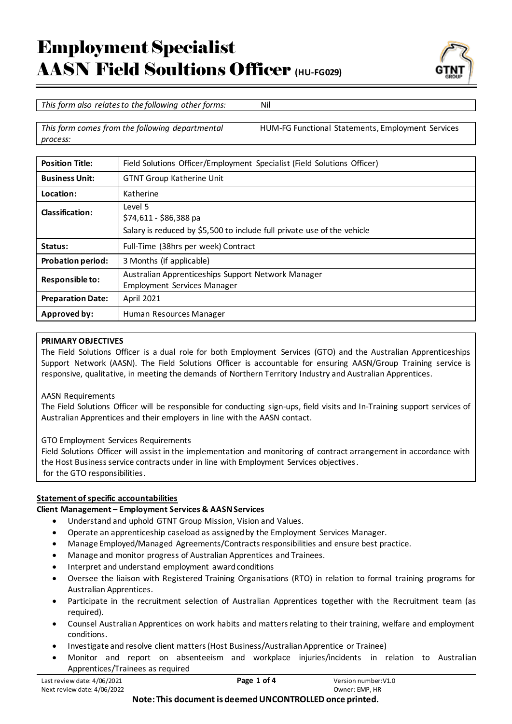

*This form also relates to the following other forms:* Nil

*This form comes from the following departmental process:*

HUM-FG Functional Statements, Employment Services

| <b>Position Title:</b>   | Field Solutions Officer/Employment Specialist (Field Solutions Officer)                  |
|--------------------------|------------------------------------------------------------------------------------------|
| <b>Business Unit:</b>    | <b>GTNT Group Katherine Unit</b>                                                         |
| Location:                | Katherine                                                                                |
| Classification:          | Level 5<br>\$74,611 - \$86,388 pa                                                        |
|                          | Salary is reduced by \$5,500 to include full private use of the vehicle                  |
| Status:                  | Full-Time (38hrs per week) Contract                                                      |
| <b>Probation period:</b> | 3 Months (if applicable)                                                                 |
| Responsible to:          | Australian Apprenticeships Support Network Manager<br><b>Employment Services Manager</b> |
| <b>Preparation Date:</b> | April 2021                                                                               |
| Approved by:             | Human Resources Manager                                                                  |

# **PRIMARY OBJECTIVES**

The Field Solutions Officer is a dual role for both Employment Services (GTO) and the Australian Apprenticeships Support Network (AASN). The Field Solutions Officer is accountable for ensuring AASN/Group Training service is responsive, qualitative, in meeting the demands of Northern Territory Industry and Australian Apprentices.

# AASN Requirements

The Field Solutions Officer will be responsible for conducting sign-ups, field visits and In-Training support services of Australian Apprentices and their employers in line with the AASN contact.

GTO Employment Services Requirements

Field Solutions Officer will assist in the implementation and monitoring of contract arrangement in accordance with the Host Business service contracts under in line with Employment Services objectives. for the GTO responsibilities.

# **Statement of specific accountabilities**

# **Client Management – Employment Services & AASNServices**

- Understand and uphold GTNT Group Mission, Vision and Values.
- Operate an apprenticeship caseload as assigned by the Employment Services Manager.
- Manage Employed/Managed Agreements/Contracts responsibilities and ensure best practice.
- Manage and monitor progress of Australian Apprentices and Trainees.
- Interpret and understand employment award conditions
- Oversee the liaison with Registered Training Organisations (RTO) in relation to formal training programs for Australian Apprentices.
- Participate in the recruitment selection of Australian Apprentices together with the Recruitment team (as required).
- Counsel Australian Apprentices on work habits and matters relating to their training, welfare and employment conditions.
- Investigate and resolve client matters (Host Business/Australian Apprentice or Trainee)
- Monitor and report on absenteeism and workplace injuries/incidents in relation to Australian Apprentices/Trainees as required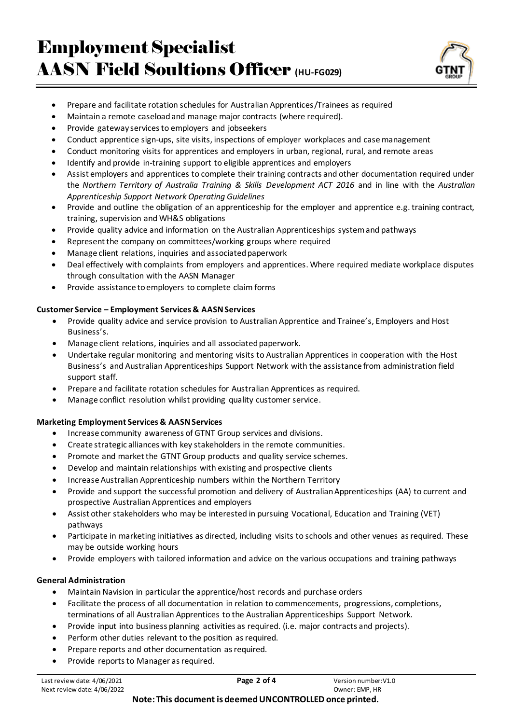

- Prepare and facilitate rotation schedules for Australian Apprentices/Trainees as required
- Maintain a remote caseload and manage major contracts (where required).
- Provide gateway services to employers and jobseekers
- Conduct apprentice sign-ups, site visits, inspections of employer workplaces and case management
- Conduct monitoring visits for apprentices and employers in urban, regional, rural, and remote areas
- Identify and provide in-training support to eligible apprentices and employers
- Assist employers and apprentices to complete their training contracts and other documentation required under the *Northern Territory of Australia Training & Skills Development ACT 2016* and in line with the *Australian Apprenticeship Support Network Operating Guidelines*
- Provide and outline the obligation of an apprenticeship for the employer and apprentice e.g. training contract, training, supervision and WH&S obligations
- Provide quality advice and information on the Australian Apprenticeships system and pathways
- Represent the company on committees/working groups where required
- Manage client relations, inquiries and associated paperwork
- Deal effectively with complaints from employers and apprentices. Where required mediate workplace disputes through consultation with the AASN Manager
- Provide assistance to employers to complete claim forms

#### **Customer Service – Employment Services & AASNServices**

- Provide quality advice and service provision to Australian Apprentice and Trainee's, Employers and Host Business's.
- Manage client relations, inquiries and all associated paperwork.
- Undertake regular monitoring and mentoring visits to Australian Apprentices in cooperation with the Host Business's and Australian Apprenticeships Support Network with the assistance from administration field support staff.
- Prepare and facilitate rotation schedules for Australian Apprentices as required.
- Manage conflict resolution whilst providing quality customer service.

#### **Marketing Employment Services & AASNServices**

- Increase community awareness of GTNT Group services and divisions.
- Create strategic alliances with key stakeholders in the remote communities.
- Promote and market the GTNT Group products and quality service schemes.
- Develop and maintain relationships with existing and prospective clients
- Increase Australian Apprenticeship numbers within the Northern Territory
- Provide and support the successful promotion and delivery of Australian Apprenticeships (AA) to current and prospective Australian Apprentices and employers
- Assist other stakeholders who may be interested in pursuing Vocational, Education and Training (VET) pathways
- Participate in marketing initiatives as directed, including visits to schools and other venues as required. These may be outside working hours
- Provide employers with tailored information and advice on the various occupations and training pathways

# **General Administration**

- Maintain Navision in particular the apprentice/host records and purchase orders
- Facilitate the process of all documentation in relation to commencements, progressions, completions, terminations of all Australian Apprentices to the Australian Apprenticeships Support Network.
- Provide input into business planning activities as required. (i.e. major contracts and projects).
- Perform other duties relevant to the position as required.
- Prepare reports and other documentation as required.
- Provide reports to Manager as required.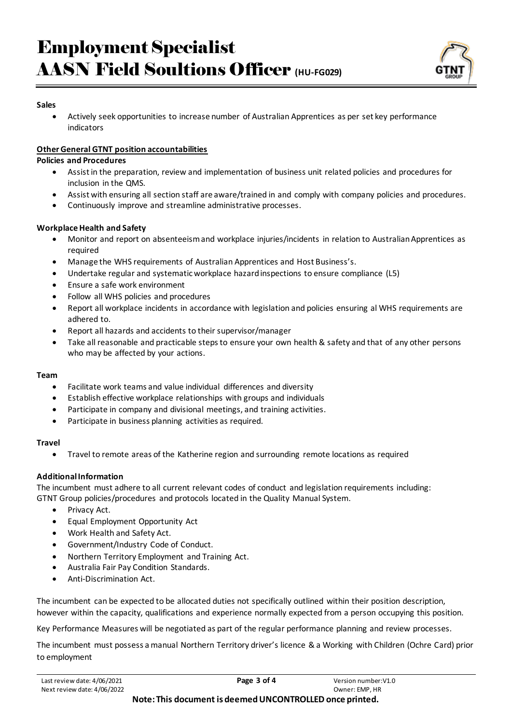

#### **Sales**

• Actively seek opportunities to increase number of Australian Apprentices as per set key performance indicators

# **Other General GTNT position accountabilities**

#### **Policies and Procedures**

- Assist in the preparation, review and implementation of business unit related policies and procedures for inclusion in the QMS.
- Assist with ensuring all section staff are aware/trained in and comply with company policies and procedures.
- Continuously improve and streamline administrative processes.

# **Workplace Health and Safety**

- Monitor and report on absenteeism and workplace injuries/incidents in relation to Australian Apprentices as required
- Manage the WHS requirements of Australian Apprentices and Host Business's.
- Undertake regular and systematic workplace hazard inspections to ensure compliance (L5)
- Ensure a safe work environment
- Follow all WHS policies and procedures
- Report all workplace incidents in accordance with legislation and policies ensuring al WHS requirements are adhered to.
- Report all hazards and accidents to their supervisor/manager
- Take all reasonable and practicable steps to ensure your own health & safety and that of any other persons who may be affected by your actions.

# **Team**

- Facilitate work teams and value individual differences and diversity
- Establish effective workplace relationships with groups and individuals
- Participate in company and divisional meetings, and training activities.
- Participate in business planning activities as required.

# **Travel**

• Travel to remote areas of the Katherine region and surrounding remote locations as required

# **Additional Information**

The incumbent must adhere to all current relevant codes of conduct and legislation requirements including: GTNT Group policies/procedures and protocols located in the Quality Manual System.

- Privacy Act.
- Equal Employment Opportunity Act
- Work Health and Safety Act.
- Government/Industry Code of Conduct.
- Northern Territory Employment and Training Act.
- Australia Fair Pay Condition Standards.
- Anti-Discrimination Act.

The incumbent can be expected to be allocated duties not specifically outlined within their position description, however within the capacity, qualifications and experience normally expected from a person occupying this position.

Key Performance Measures will be negotiated as part of the regular performance planning and review processes.

The incumbent must possess a manual Northern Territory driver's licence & a Working with Children (Ochre Card) prior to employment